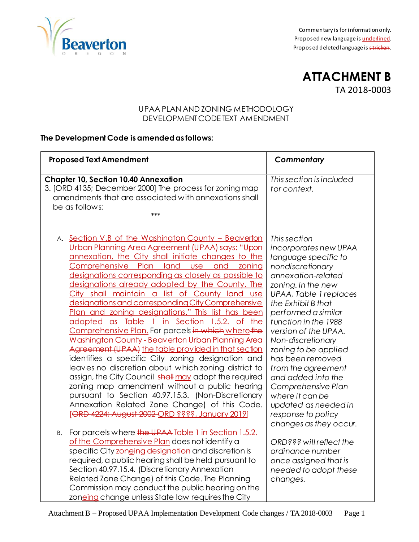

Commentary is for information only. Proposed new language is *underlined*. Proposed deleted language is stricken.



## UPAA PLAN AND ZONING METHODOLOGY DEVELOPMENT CODE TEXT AMENDMENT

## **The Development Code is amended as follows:**

| <b>Proposed Text Amendment</b>                                                                                                                                                                                                                                                                                                                                                                                                                                                                                                                                                                                                                                                                                                                                                                                                                                                                                                                                                                                                                                                                                                                                                                                                                                             | Commentary                                                                                                                                                                                                                                                                                                                                                                                                                                                                                                                        |
|----------------------------------------------------------------------------------------------------------------------------------------------------------------------------------------------------------------------------------------------------------------------------------------------------------------------------------------------------------------------------------------------------------------------------------------------------------------------------------------------------------------------------------------------------------------------------------------------------------------------------------------------------------------------------------------------------------------------------------------------------------------------------------------------------------------------------------------------------------------------------------------------------------------------------------------------------------------------------------------------------------------------------------------------------------------------------------------------------------------------------------------------------------------------------------------------------------------------------------------------------------------------------|-----------------------------------------------------------------------------------------------------------------------------------------------------------------------------------------------------------------------------------------------------------------------------------------------------------------------------------------------------------------------------------------------------------------------------------------------------------------------------------------------------------------------------------|
| <b>Chapter 10, Section 10.40 Annexation</b><br>3. [ORD 4135; December 2000] The process for zoning map<br>amendments that are associated with annexations shall<br>be as follows:<br>***                                                                                                                                                                                                                                                                                                                                                                                                                                                                                                                                                                                                                                                                                                                                                                                                                                                                                                                                                                                                                                                                                   | This section is included<br>for context.                                                                                                                                                                                                                                                                                                                                                                                                                                                                                          |
| A. Section V.B of the Washington County - Beaverton<br>Urban Planning Area Agreement (UPAA) says: "Upon<br>annexation, the City shall initiate changes to the<br>Comprehensive Plan land<br>and<br><b>USe</b><br>zoning<br>designations corresponding as closely as possible to<br>designations already adopted by the County. The<br>City shall maintain a list of County land use<br>designations and corresponding City Comprehensive<br>Plan and zoning designations." This list has been<br>adopted as Table 1 in Section 1.5.2. of the<br>Comprehensive Plan. For parcels in which where the<br>Washington County - Beaverton Urban Planning Area<br>Agreement (UPAA) the table provided in that section<br>identifies a specific City zoning designation and<br>leaves no discretion about which zoning district to<br>assign, the City Council shall may adopt the required<br>zoning map amendment without a public hearing<br>pursuant to Section 40.97.15.3. (Non-Discretionary<br>Annexation Related Zone Change) of this Code.<br>[ORD 4224; August 2002 ORD ????, January 2019]<br>For parcels where the UPAA Table 1 in Section 1.5.2.<br><b>B.</b><br>of the Comprehensive Plan does not identify a<br>specific City zoneing designation and discretion is | This section<br>incorporates new UPAA<br>language specific to<br>nondiscretionary<br>annexation-related<br>zoning. In the new<br>UPAA, Table 1 replaces<br>the Exhibit B that<br>performed a similar<br>function in the 1988<br>version of the UPAA.<br>Non-discretionary<br>zoning to be applied<br>has been removed<br>from the agreement<br>and added into the<br>Comprehensive Plan<br>where it can be<br>updated as needed in<br>response to policy<br>changes as they occur.<br>ORD??? will reflect the<br>ordinance number |
| required, a public hearing shall be held pursuant to<br>Section 40.97.15.4. (Discretionary Annexation<br>Related Zone Change) of this Code. The Planning<br>Commission may conduct the public hearing on the<br>zoneing change unless State law requires the City                                                                                                                                                                                                                                                                                                                                                                                                                                                                                                                                                                                                                                                                                                                                                                                                                                                                                                                                                                                                          | once assigned that is<br>needed to adopt these<br>changes.                                                                                                                                                                                                                                                                                                                                                                                                                                                                        |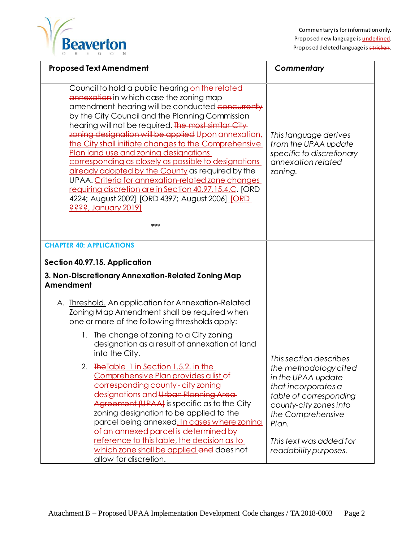

| <b>Proposed Text Amendment</b>                                                                                                                                                                                                                                                                                                                                                                                                                                                                                                                                                                                                                                                                                                        | Commentary                                                                                                                                                                                                                         |
|---------------------------------------------------------------------------------------------------------------------------------------------------------------------------------------------------------------------------------------------------------------------------------------------------------------------------------------------------------------------------------------------------------------------------------------------------------------------------------------------------------------------------------------------------------------------------------------------------------------------------------------------------------------------------------------------------------------------------------------|------------------------------------------------------------------------------------------------------------------------------------------------------------------------------------------------------------------------------------|
| Council to hold a public hearing on the related-<br>annexation in which case the zoning map<br>amendment hearing will be conducted concurrently<br>by the City Council and the Planning Commission<br>hearing will not be required. The most similar City<br>zoning designation will be applied Upon annexation,<br>the City shall initiate changes to the Comprehensive<br>Plan land use and zoning designations<br>corresponding as closely as possible to designations<br>already adopted by the County as required by the<br>UPAA. Criteria for annexation-related zone changes<br>requiring discretion are in Section 40.97.15.4.C. [ORD<br>4224; August 2002] [ORD 4397; August 2006] [ORD<br><b>????, January 2019]</b><br>*** | This language derives<br>from the UPAA update<br>specific to discretionary<br>annexation related<br>zoning.                                                                                                                        |
| <b>CHAPTER 40: APPLICATIONS</b><br>Section 40.97.15. Application<br>3. Non-Discretionary Annexation-Related Zoning Map<br>Amendment                                                                                                                                                                                                                                                                                                                                                                                                                                                                                                                                                                                                   |                                                                                                                                                                                                                                    |
| A. Threshold. An application for Annexation-Related<br>Zoning Map Amendment shall be required when<br>one or more of the following thresholds apply:                                                                                                                                                                                                                                                                                                                                                                                                                                                                                                                                                                                  |                                                                                                                                                                                                                                    |
| The change of zoning to a City zoning<br>1.<br>designation as a result of annexation of land<br>into the City.                                                                                                                                                                                                                                                                                                                                                                                                                                                                                                                                                                                                                        |                                                                                                                                                                                                                                    |
| 2. The Table 1 in Section 1.5.2, in the<br>Comprehensive Plan provides a list of<br>corresponding county - city zoning<br>designations and Urban Planning Area-<br>Agreement (UPAA) is specific as to the City<br>zoning designation to be applied to the<br>parcel being annexed. In cases where zoning<br>of an annexed parcel is determined by<br>reference to this table, the decision as to<br>which zone shall be applied and does not<br>allow for discretion.                                                                                                                                                                                                                                                                 | This section describes<br>the methodology cited<br>in the UPAA update<br>that incorporates a<br>table of corresponding<br>county-city zones into<br>the Comprehensive<br>Plan.<br>This text was added for<br>readability purposes. |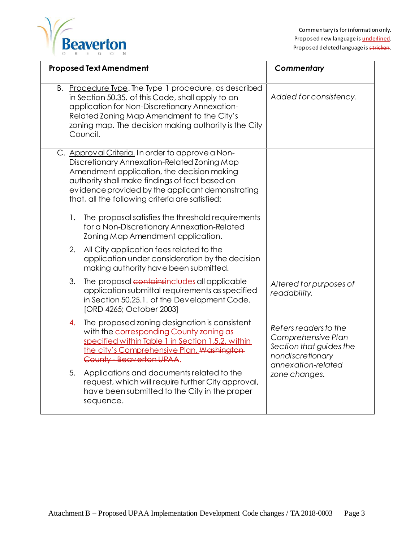

| <b>Proposed Text Amendment</b>                                                                                                                                                                                                                                                                                                                                                                                                                                                                                                                                                                     | Commentary                                                                                                       |
|----------------------------------------------------------------------------------------------------------------------------------------------------------------------------------------------------------------------------------------------------------------------------------------------------------------------------------------------------------------------------------------------------------------------------------------------------------------------------------------------------------------------------------------------------------------------------------------------------|------------------------------------------------------------------------------------------------------------------|
| B. Procedure Type. The Type 1 procedure, as described<br>in Section 50.35. of this Code, shall apply to an<br>application for Non-Discretionary Annexation-<br>Related Zoning Map Amendment to the City's<br>zoning map. The decision making authority is the City<br>Council.                                                                                                                                                                                                                                                                                                                     | Added for consistency.                                                                                           |
| C. Approval Criteria. In order to approve a Non-<br>Discretionary Annexation-Related Zoning Map<br>Amendment application, the decision making<br>authority shall make findings of fact based on<br>evidence provided by the applicant demonstrating<br>that, all the following criteria are satisfied:<br>1.<br>The proposal satisfies the threshold requirements<br>for a Non-Discretionary Annexation-Related<br>Zoning Map Amendment application.<br>All City application fees related to the<br>2.<br>application under consideration by the decision<br>making authority have been submitted. |                                                                                                                  |
| 3.<br>The proposal containsincludes all applicable<br>application submittal requirements as specified<br>in Section 50.25.1. of the Development Code.<br>[ORD 4265; October 2003]                                                                                                                                                                                                                                                                                                                                                                                                                  | Altered for purposes of<br>readability.                                                                          |
| The proposed zoning designation is consistent<br>4.<br>with the corresponding County zoning as<br>specified within Table 1 in Section 1.5.2. within<br>the city's Comprehensive Plan. Washington-<br>County - Beaverton UPAA.                                                                                                                                                                                                                                                                                                                                                                      | Refers readers to the<br>Comprehensive Plan<br>Section that guides the<br>nondiscretionary<br>annexation-related |
| 5.<br>Applications and documents related to the<br>request, which will require further City approval,<br>have been submitted to the City in the proper<br>sequence.                                                                                                                                                                                                                                                                                                                                                                                                                                | zone changes.                                                                                                    |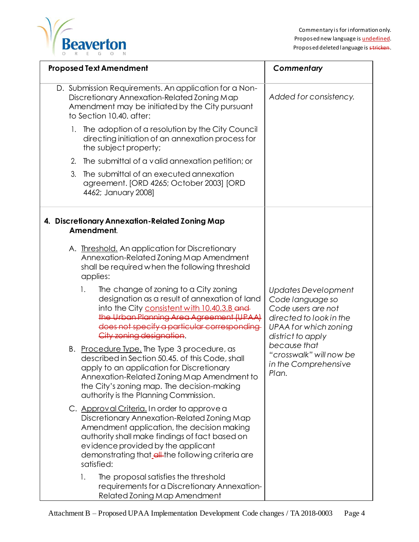

|    | <b>Proposed Text Amendment</b>                                                                                                                                                                                                                                                                      | Commentary                                                                                                                                    |
|----|-----------------------------------------------------------------------------------------------------------------------------------------------------------------------------------------------------------------------------------------------------------------------------------------------------|-----------------------------------------------------------------------------------------------------------------------------------------------|
|    | D. Submission Requirements. An application for a Non-<br>Discretionary Annexation-Related Zoning Map<br>Amendment may be initiated by the City pursuant<br>to Section 10.40. after:                                                                                                                 | Added for consistency.                                                                                                                        |
| 1. | The adoption of a resolution by the City Council<br>directing initiation of an annexation process for<br>the subject property;                                                                                                                                                                      |                                                                                                                                               |
| 2. | The submittal of a valid annexation petition; or                                                                                                                                                                                                                                                    |                                                                                                                                               |
| 3. | The submittal of an executed annexation<br>agreement. [ORD 4265; October 2003] [ORD<br>4462; January 2008]                                                                                                                                                                                          |                                                                                                                                               |
|    | 4. Discretionary Annexation-Related Zoning Map<br>Amendment.                                                                                                                                                                                                                                        |                                                                                                                                               |
|    | A. Threshold. An application for Discretionary<br>Annexation-Related Zoning Map Amendment<br>shall be required when the following threshold<br>applies:                                                                                                                                             |                                                                                                                                               |
|    | 1.<br>The change of zoning to a City zoning<br>designation as a result of annexation of land<br>into the City consistent with 10.40.3.B and<br>the Urban Planning Area Agreement (UPAA)<br>does not specify a particular corresponding<br>City zoning designation.                                  | <b>Updates Development</b><br>Code language so<br>Code users are not<br>directed to look in the<br>UPAA for which zoning<br>district to apply |
|    | B. Procedure Type. The Type 3 procedure, as<br>described in Section 50.45. of this Code, shall<br>apply to an application for Discretionary<br>Annexation-Related Zoning Map Amendment to<br>the City's zoning map. The decision-making<br>authority is the Planning Commission.                    | because that<br>"crosswalk" will now be<br>in the Comprehensive<br>Plan.                                                                      |
|    | C. Approval Criteria. In order to approve a<br>Discretionary Annexation-Related Zoning Map<br>Amendment application, the decision making<br>authority shall make findings of fact based on<br>evidence provided by the applicant<br>demonstrating that_all_the following criteria are<br>satisfied: |                                                                                                                                               |
|    | 1.<br>The proposal satisfies the threshold<br>requirements for a Discretionary Annexation-<br>Related Zoning Map Amendment                                                                                                                                                                          |                                                                                                                                               |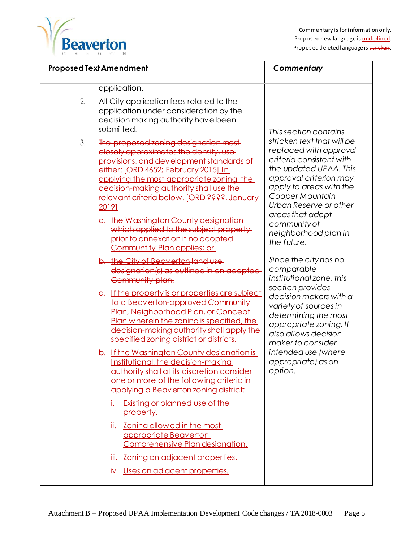

|    | <b>Proposed Text Amendment</b>                                                                                                                                                                                                                                                                                                                                                                                                                                                                                                                                                                                                                                                                                                                                                                                                                                                                                                                                                                                                                                                                                                                                                                                                                                                                                   | Commentary                                                                                                                                                                                                                                                                                                                                                                                                                                                                                                                                                                               |  |  |  |
|----|------------------------------------------------------------------------------------------------------------------------------------------------------------------------------------------------------------------------------------------------------------------------------------------------------------------------------------------------------------------------------------------------------------------------------------------------------------------------------------------------------------------------------------------------------------------------------------------------------------------------------------------------------------------------------------------------------------------------------------------------------------------------------------------------------------------------------------------------------------------------------------------------------------------------------------------------------------------------------------------------------------------------------------------------------------------------------------------------------------------------------------------------------------------------------------------------------------------------------------------------------------------------------------------------------------------|------------------------------------------------------------------------------------------------------------------------------------------------------------------------------------------------------------------------------------------------------------------------------------------------------------------------------------------------------------------------------------------------------------------------------------------------------------------------------------------------------------------------------------------------------------------------------------------|--|--|--|
|    | application.                                                                                                                                                                                                                                                                                                                                                                                                                                                                                                                                                                                                                                                                                                                                                                                                                                                                                                                                                                                                                                                                                                                                                                                                                                                                                                     |                                                                                                                                                                                                                                                                                                                                                                                                                                                                                                                                                                                          |  |  |  |
| 2. | All City application fees related to the<br>application under consideration by the<br>decision making authority have been<br>submitted.                                                                                                                                                                                                                                                                                                                                                                                                                                                                                                                                                                                                                                                                                                                                                                                                                                                                                                                                                                                                                                                                                                                                                                          | This section contains                                                                                                                                                                                                                                                                                                                                                                                                                                                                                                                                                                    |  |  |  |
| 3. | The proposed zoning designation most<br>closely approximates the density, use<br>provisions, and development standards of<br>either: [ORD 4652; February 2015] In<br>applying the most appropriate zoning, the<br>decision-making authority shall use the<br>relevant criteria below. [ORD ????, January<br>20191<br>a. the Washington County designation<br>which applied to the subject property<br>prior to annexation if no adopted<br>Communtity Plan applies; or<br>b. the City of Beaverton land use<br>designation(s) as outlined in an adopted<br>Community plan.<br>a. If the property is or properties are subject<br>to a Beaverton-approved Community<br>Plan, Neighborhood Plan, or Concept<br>Plan wherein the zoning is specified, the<br>decision-making authority shall apply the<br>specified zoning district or districts.<br>b. If the Washington County designation is<br>Institutional, the decision-making<br>authority shall at its discretion consider<br>one or more of the following criteria in<br>applying a Beaverton zoning district:<br><b>Existing or planned use of the</b><br>i.<br>property.<br>Zoning allowed in the most<br>ii.<br>appropriate Beaverton<br>Comprehensive Plan designation.<br>Zoning on adjacent properties.<br>iii.<br>iv. Uses on adjacent properties. | stricken text that will be<br>replaced with approval<br>criteria consistent with<br>the updated UPAA. This<br>approval criterion may<br>apply to areas with the<br>Cooper Mountain<br>Urban Reserve or other<br>areas that adopt<br>community of<br>neighborhood plan in<br>the future.<br>Since the city has no<br>comparable<br>institutional zone, this<br>section provides<br>decision makers with a<br>variety of sources in<br>determining the most<br>appropriate zoning. It<br>also allows decision<br>maker to consider<br>intended use (where<br>appropriate) as an<br>option. |  |  |  |
|    |                                                                                                                                                                                                                                                                                                                                                                                                                                                                                                                                                                                                                                                                                                                                                                                                                                                                                                                                                                                                                                                                                                                                                                                                                                                                                                                  |                                                                                                                                                                                                                                                                                                                                                                                                                                                                                                                                                                                          |  |  |  |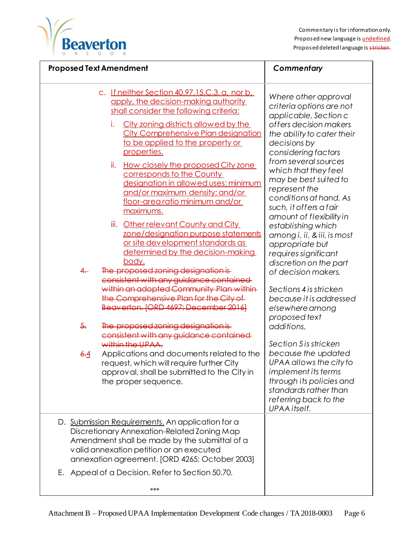

| <b>Proposed Text Amendment</b>                                                                                                                                                                                                                                                                                                                                                                                                                                                                                                                                                                                                                                                                                                                                                                                                                                                                                                                                                                                                                                                                                                                                                     | Commentary                                                                                                                                                                                                                                                                                                                                                                                                                                                                                                                                                                                                                                                                                                                                                                                                 |
|------------------------------------------------------------------------------------------------------------------------------------------------------------------------------------------------------------------------------------------------------------------------------------------------------------------------------------------------------------------------------------------------------------------------------------------------------------------------------------------------------------------------------------------------------------------------------------------------------------------------------------------------------------------------------------------------------------------------------------------------------------------------------------------------------------------------------------------------------------------------------------------------------------------------------------------------------------------------------------------------------------------------------------------------------------------------------------------------------------------------------------------------------------------------------------|------------------------------------------------------------------------------------------------------------------------------------------------------------------------------------------------------------------------------------------------------------------------------------------------------------------------------------------------------------------------------------------------------------------------------------------------------------------------------------------------------------------------------------------------------------------------------------------------------------------------------------------------------------------------------------------------------------------------------------------------------------------------------------------------------------|
| c. If neither Section 40.97.15.C.3. a. nor b.<br>apply, the decision-making authority<br>shall consider the following criteria:<br>City zoning districts allowed by the<br>i.<br>City Comprehensive Plan designation<br>to be applied to the property or<br>properties.<br>ii.<br><u>How closely the proposed City zone</u><br>corresponds to the County<br>designation in allowed uses; minimum<br>and/or maximum density; and/or<br>floor-area ratio minimum and/or<br>maximums.<br>iii. Other relevant County and City<br>zone/designation purpose statements<br><u>or site development standards as</u><br>determined by the decision-making<br><u>body.</u><br>The proposed zoning designation is<br>4.<br>consistent with any guidance contained<br>within an adopted Community Plan within<br>the Comprehensive Plan for the City of<br>Beaverton. [ORD 4697; December 2016]<br>$\overline{5}$ .<br>The proposed zoning designation is<br>consistent with any guidance contained<br>within the UPAA.<br>Applications and documents related to the<br>6.4<br>request, which will require further City<br>approval, shall be submitted to the City in<br>the proper sequence. | Where other approval<br>criteria options are not<br>applicable, Section c<br>offers decision makers<br>the ability to cater their<br>decisions by<br>considering factors<br>from several sources<br>which that they feel<br>may be best suited to<br>represent the<br>conditions at hand. As<br>such, it offers a fair<br>amount of flexibility in<br>establishing which<br>among i, ii, & iii, is most<br>appropriate but<br>requires significant<br>discretion on the part<br>of decision makers.<br>Sections 4 is stricken<br>because it is addressed<br>elsewhere among<br>proposed text<br>additions.<br>Section 5 is stricken<br>because the updated<br>UPAA allows the city to<br>implement its terms<br>through its policies and<br>standards rather than<br>referring back to the<br>UPAA itself. |
| D. Submission Requirements. An application for a<br>Discretionary Annexation-Related Zoning Map<br>Amendment shall be made by the submittal of a<br>valid annexation petition or an executed<br>annexation agreement. [ORD 4265; October 2003]                                                                                                                                                                                                                                                                                                                                                                                                                                                                                                                                                                                                                                                                                                                                                                                                                                                                                                                                     |                                                                                                                                                                                                                                                                                                                                                                                                                                                                                                                                                                                                                                                                                                                                                                                                            |
| E. Appeal of a Decision. Refer to Section 50.70.                                                                                                                                                                                                                                                                                                                                                                                                                                                                                                                                                                                                                                                                                                                                                                                                                                                                                                                                                                                                                                                                                                                                   |                                                                                                                                                                                                                                                                                                                                                                                                                                                                                                                                                                                                                                                                                                                                                                                                            |
| ***                                                                                                                                                                                                                                                                                                                                                                                                                                                                                                                                                                                                                                                                                                                                                                                                                                                                                                                                                                                                                                                                                                                                                                                |                                                                                                                                                                                                                                                                                                                                                                                                                                                                                                                                                                                                                                                                                                                                                                                                            |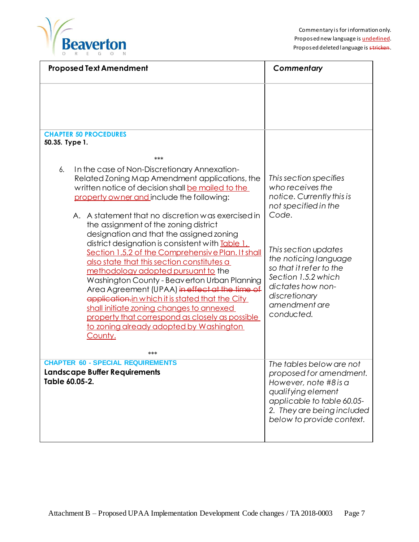

| <b>Proposed Text Amendment</b>                                                                                                                                                                                                                                                                                                                                                                                                                                                                                                                                                                   | Commentary                                                                                                                                                           |
|--------------------------------------------------------------------------------------------------------------------------------------------------------------------------------------------------------------------------------------------------------------------------------------------------------------------------------------------------------------------------------------------------------------------------------------------------------------------------------------------------------------------------------------------------------------------------------------------------|----------------------------------------------------------------------------------------------------------------------------------------------------------------------|
|                                                                                                                                                                                                                                                                                                                                                                                                                                                                                                                                                                                                  |                                                                                                                                                                      |
| <b>CHAPTER 50 PROCEDURES</b><br>50.35. Type 1.                                                                                                                                                                                                                                                                                                                                                                                                                                                                                                                                                   |                                                                                                                                                                      |
| ***                                                                                                                                                                                                                                                                                                                                                                                                                                                                                                                                                                                              |                                                                                                                                                                      |
| In the case of Non-Discretionary Annexation-<br>6.<br>Related Zoning Map Amendment applications, the<br>written notice of decision shall be mailed to the<br>property owner and include the following:<br>A. A statement that no discretion was exercised in                                                                                                                                                                                                                                                                                                                                     | This section specifies<br>who receives the<br>notice. Currently this is<br>not specified in the<br>Code.                                                             |
| the assignment of the zoning district<br>designation and that the assigned zoning<br>district designation is consistent with Table 1.<br>Section 1.5.2 of the Comprehensive Plan. It shall<br>also state that this section constitutes a<br>methodology adopted pursuant to the<br>Washington County - Beaverton Urban Planning<br>Area Agreement (UPAA) in effect at the time of<br>application.in which it is stated that the City<br>shall initiate zoning changes to annexed<br>property that correspond as closely as possible<br>to zoning already adopted by Washington<br>County.<br>*** | This section updates<br>the noticing language<br>so that it refer to the<br>Section 1.5.2 which<br>dictates how non-<br>discretionary<br>amendment are<br>conducted. |
| <b>CHAPTER 60 - SPECIAL REQUIREMENTS</b>                                                                                                                                                                                                                                                                                                                                                                                                                                                                                                                                                         | The tables below are not                                                                                                                                             |
| <b>Landscape Buffer Requirements</b><br>Table 60.05-2.                                                                                                                                                                                                                                                                                                                                                                                                                                                                                                                                           | proposed for amendment.<br>However, note #8 is a<br>qualifying element<br>applicable to table 60.05-<br>2. They are being included<br>below to provide context.      |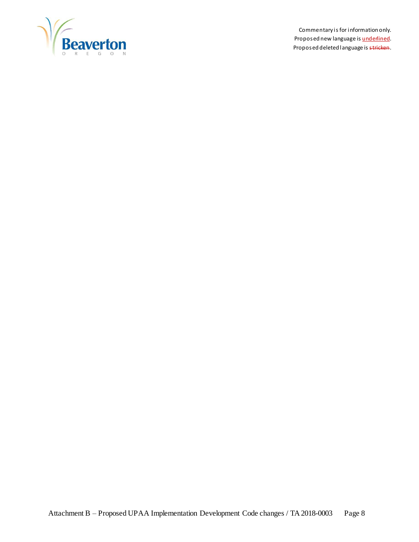

Commentary is for information only. Proposed new language is *underlined*. Proposed deleted language is stricken.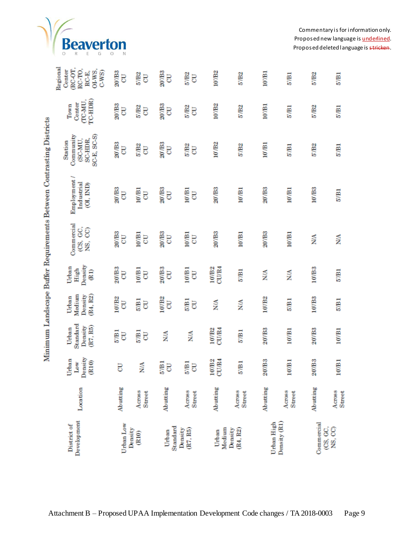

Minimum Landscape Buffer Requirements Between Contrasting Districts

Commentary is for information only. Proposed new language is *underlined*. Proposed deleted language is stricken.

| Development<br>District of | Location         | Density<br>Urban<br>(R10)<br>$_{\rm Low}$ | Standard<br>(R7, R5)<br>Density<br>Urban | Medium<br>Density<br>(R4, R2)<br>Urban | Density<br>Urban<br>High<br>a     | Commercial<br>CS, GC,<br>ලි<br>g, | Employment /<br>Industrial<br>(0I, IND) | Community<br>SC-E, SC-S)<br>SC-HDR,<br>(SC-MU,<br>Station | TO-MU,<br>TC-HDR)<br>Center<br>Town | Regional<br>(RC-OT,<br>RC-TO.<br>Center<br>OI-WS.<br>$C-WS$<br>RC-E, |
|----------------------------|------------------|-------------------------------------------|------------------------------------------|----------------------------------------|-----------------------------------|-----------------------------------|-----------------------------------------|-----------------------------------------------------------|-------------------------------------|----------------------------------------------------------------------|
| Urban Low                  | Abutting         | B                                         | 57B1<br>B                                | 10/B <sub>2</sub><br>B                 | 20/183<br>B                       | 20'/B3<br>5                       | 207B3<br>B                              | 207B3<br>B                                                | 207B3<br>B                          | 207B3<br>B                                                           |
| Density<br>$($ R10 $)$     | Across<br>Street | NA                                        | 5/81<br>B                                | 5/B1<br>B                              | 107B1<br>B                        | 10'/B1<br>F                       | 10'/B1<br>B                             | 5/B <sub>2</sub><br>B                                     | 5/B <sub>2</sub><br>B               | 5'/B2<br>B                                                           |
| Standard<br>Urban          | Abutting         | 57B1<br>B                                 | ₹                                        | 10/B <sub>2</sub><br>B                 | 20/B3<br>B                        | 20'/B3<br>F                       | 20'/B3<br>F                             | 20'/B3<br>F                                               | 207B3<br>F                          | 207B3<br>B                                                           |
| (R7, R5)<br>Density        | Across<br>Street | 57B <sub>1</sub><br>B                     | NA                                       | 57B1<br>5                              | 107B1<br>B                        | 10'/B1<br>B                       | 10'/B1<br>B                             | 5'/B2<br>B                                                | 5'/B2<br>B                          | 5'/B2<br>B                                                           |
| Medium<br>Urban            | Abutting         | 107B2<br>CU/R4                            | <b>CU/R4</b><br>10/B <sub>2</sub>        | NA                                     | <b>CU/R4</b><br>10/B <sub>2</sub> | 207B3                             | 207B <sub>3</sub>                       | 10'/B2                                                    | 107B2                               | 10'/B2                                                               |
| Density<br>(R4, R2)        | Across<br>Street | 57B1                                      | 57B1                                     | NA                                     | 57B1                              | 10'/B1                            | 10'/B1                                  | 5/B <sub>2</sub>                                          | 5/B <sub>2</sub>                    | 5'/B2                                                                |
| Urban High                 | Abutting         | 20/B3                                     | 207B3                                    | 10/B <sub>2</sub>                      | NA                                | 207B3                             | 20/B <sub>3</sub>                       | 10'/B1                                                    | 10'/B1                              | 10'/B1                                                               |
| Density (R1)               | Across<br>Street | 107B1                                     | 10/B1                                    | 5/B <sub>1</sub>                       | ₹                                 | 10'/B1                            | 10'/B1                                  | 5/B1                                                      | 5/B1                                | 57B1                                                                 |
| Commercial                 | Abutting         | 207B3                                     | 20/B <sub>3</sub>                        | 10/B <sub>3</sub>                      | 10/B <sub>3</sub>                 | ş                                 | $10'$ /B <sub>3</sub>                   | 5/B <sub>2</sub>                                          | 5/B <sub>2</sub>                    | 5'/B2                                                                |
| CS, GC,<br>NS, CC)         | Across<br>Street | 107B1                                     | 10/B1                                    | 57B1                                   | 57B1                              | ž                                 | 5/1B1                                   | 57B1                                                      | 57B1                                | 57B1                                                                 |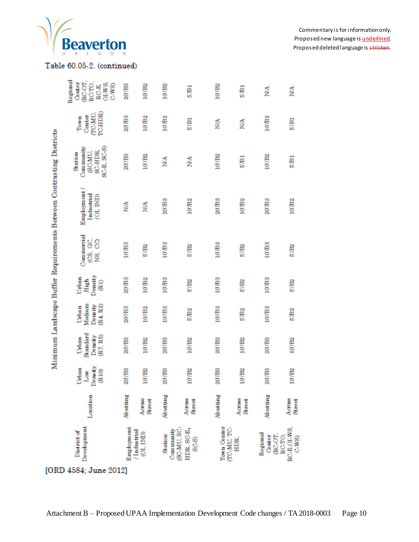

Table 60.05-2. (continued)

Commentary is for information only. Proposed new language is *underlined*. Proposed deleted language is stricken.

|                                                                     | Regional<br>RC-OT,<br>Center<br>RCTO,<br>OI-W <sub>S</sub><br>$C-WS$<br>$RC - E$ | 207/B8       | 10/ <sub>B2</sub>        | 10/IB2                      | 5/B1                               | 107/B2                           | 5/B1                    | ⋚                           | ź                              |
|---------------------------------------------------------------------|----------------------------------------------------------------------------------|--------------|--------------------------|-----------------------------|------------------------------------|----------------------------------|-------------------------|-----------------------------|--------------------------------|
|                                                                     | TCHDR)<br>(TC-MU)<br>Center<br>Town                                              | 20/B3        | 10/EB2                   | 10/B2                       | 5/B1                               | ₹                                | ž                       | 10/B2                       | 5/B1                           |
|                                                                     | Community<br>$SC-E, SC-S$<br>SC-HDR,<br>(SCMU,<br><b>Station</b>                 | 20/B3        | 10//B2                   | ⋚                           | ž                                  | 107/B2                           | 5/B1                    | 107/B2                      | 5/B1                           |
| Minimum Landscape Buffer Requirements Between Contrasting Districts | Employment<br>Industrial<br>(OI, IND)                                            | ≸            | NA                       | 20/IB3                      | 10/B2                              | 200/B3                           | 10/B2                   | 200/B3                      | 10/EB                          |
|                                                                     | <b>Jom</b> mercial<br>မ္မဂ္မ<br>CS,<br>g                                         | $10'$ /B $3$ | 5'/B2                    | 10/EB3                      | 5/B2                               | 10/IB3                           | 5'/B2                   | 10/EB3                      | 5/ <i>B</i> 2                  |
|                                                                     | Density<br>Urban<br>High<br>$\widehat{\mathbf{g}}$                               | 20(B3)       | 10/B <sub>2</sub>        | 10/EB3                      | 5/B2                               | 10/EB                            | 5/JB2                   | 10/EB3                      | 5/B2                           |
|                                                                     | Medium<br>Density<br>(R4, R2)<br>Urban                                           | 207B3        | 107B2                    | 107B3                       | 5/B <sub>2</sub>                   | 107B3                            | 5'/B2                   | 107B3                       | 5'/B2                          |
|                                                                     | Standard<br>Density<br>(R7, R5)<br>Urban                                         | 20/B3        | 10/B2                    | 20/B3                       | 10/ <sub>B2</sub>                  | 20/IB3                           | 10//B2                  | 20/B3                       | 10/B2                          |
|                                                                     | Density<br>Urban<br>(R10)<br>Low                                                 | 20/B3        | 107/B2                   | 20/IB3                      | 10/B2                              | 20/IB3                           | 10//B2                  | 20/IB3                      | 10/B2                          |
|                                                                     | Location                                                                         | Abutting     | Across<br><b>Street</b>  | Abutting                    | Across<br><b>Street</b>            | Abutting                         | Across<br><b>Street</b> | Abutting                    | Across<br><b>Street</b>        |
| Development<br>District of                                          |                                                                                  | Employment   | /Industrial<br>(OI, IND) | Community<br><b>Station</b> | (SC-MU, SC-<br>HDR, SCE,<br>$SC-S$ | Town Center<br>COMU <sub>r</sub> | HDR,                    | Regional<br>æ-or,<br>Center | RC-E,OI-WS<br>RC-TO,<br>$C-WS$ |
|                                                                     | [ORD 4584; June 2012]                                                            |              |                          |                             |                                    |                                  |                         |                             |                                |